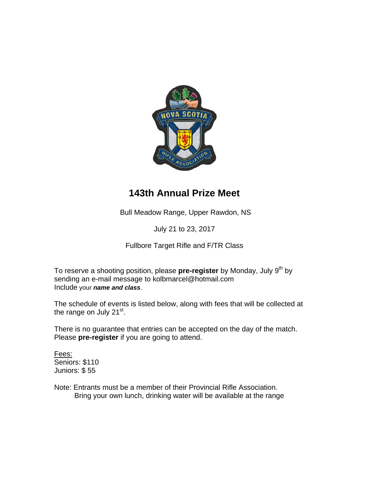

## **143th Annual Prize Meet**

Bull Meadow Range, Upper Rawdon, NS

July 21 to 23, 2017

Fullbore Target Rifle and F/TR Class

To reserve a shooting position, please **pre-register** by Monday, July 9<sup>th</sup> by sending an e-mail message to kolbmarcel@hotmail.com Include your *name and class*.

The schedule of events is listed below, along with fees that will be collected at the range on July  $21^{st}$ .

There is no guarantee that entries can be accepted on the day of the match. Please **pre-register** if you are going to attend.

Fees: Seniors: \$110 Juniors: \$ 55

Note: Entrants must be a member of their Provincial Rifle Association. Bring your own lunch, drinking water will be available at the range